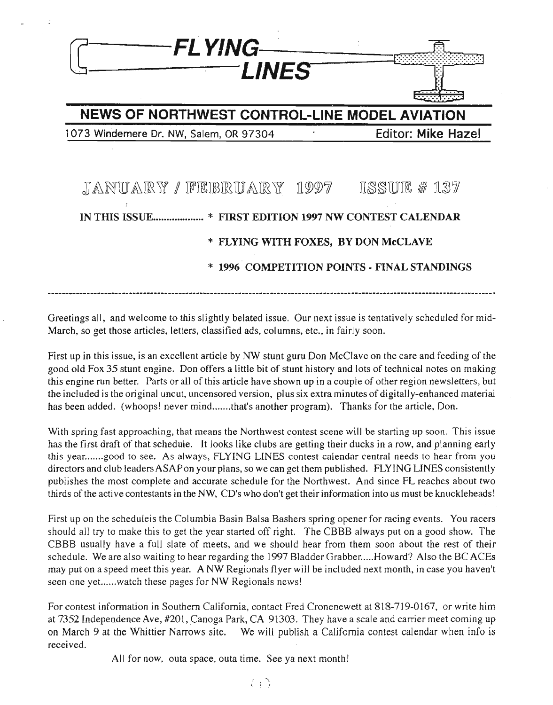

Greetings all, and welcome to this slightly belated issue. Our next issue is tentatively scheduled for mid-March, so get those articles, letters, classified ads, columns, etc., in fairly soon.

First up in this issue, is an excellent article by NW stunt guru Don McClave on the care and feeding of the good old Fox 35 stunt engine. Don offers a little bit of stunt history and lots of technical notes on making this engine run better. Parts or all of this article have shown up in a couple of other region newsletters, but the included is the original uncut, uncensored version, plus six extra minutes of digitally-enhanced material has been added. (whoops! never mind.......that's another program). Thanks for the article, Don.

With spring fast approaching, that means the Northwest contest scene will be starting up soon. This issue has the first draft of that schedule. It looks like clubs are getting their ducks in a row, and planning early this year.......good to see. As always, FLYING LINES contest calendar central needs to hear from you directors and club leadersASAPon your plans, so we can get them published. FLYING LINES consistently publishes the most complete and accurate schedule for the Northwest. And since FL reaches about two thirds of the active contestants in the NW, CD's who don't get their information into us must be knuckleheads!

First up on the scheduleis the Columbia Basin Balsa Bashers spring opener for racing events. You racers should all try to make this to get the year started off right. The CBBB always put on a good show. The CBBB usually have a full slate of meets, and we should hear from them soon about the rest of their schedule. We are also waiting to hear regarding the 1997 Bladder Grabber.....Howard? Also the BC ACEs may put on a speed meet this year. A NW Regionals flyer will be included next month, in case you haven't seen one yet......watch these pages for NW Regionals news!

For contest information in Southern California, contact Fred Cronenewett at 818-719-0167, or write him at 7352 Independence Ave, #201, Canoga Park, CA 91303. They have a scale and carrier meet coming up on March 9 at the Whittier Narrows site. We will publish a California contest calendar when info is received.

All for now, outa space, outa time. See ya next month!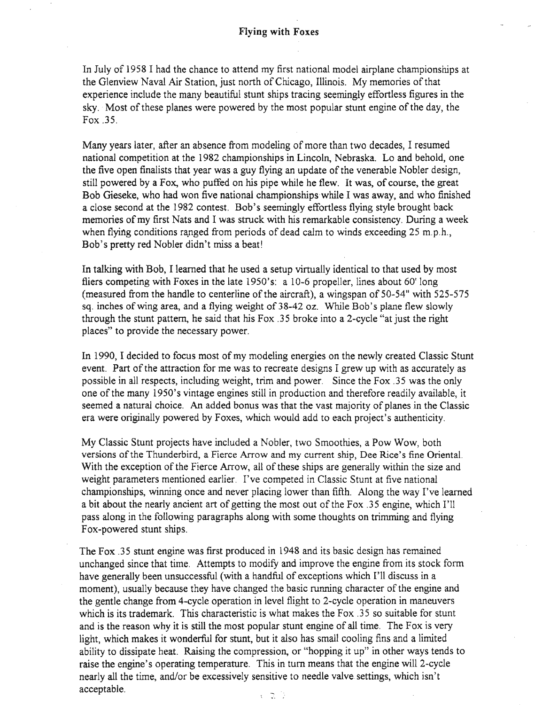In July of 1958 I had the chance to attend my first national model airplane championships at the Glenview Naval Air Station, just north of Chicago, Illinois. My memories of that experience include the many beautiful stunt ships tracing seemingly effortless figures in the sky. Most of these planes were powered by the most popular stunt engine of the day, the Fox .35.

Many years later, after an absence from modeling of more than two decades. I resumed national competition at the 1982 championships in Lincoln, Nebraska. Lo and behold, one the five open finalists that year was a guy flying an update of the venerable Nobler design, still powered by a Fox, who puffed on his pipe while he flew. It was, of course, the great Bob Gieseke, who had won five national championships while I was away, and who finished a close second at the 1982 contest. Bob's seemingly effortless flying style brought back memories of my first Nats and I was struck with his remarkable consistency. During a week when flying conditions ranged from periods of dead calm to winds exceeding  $25 \text{ m.p.h.}$ , Bob's pretty red Nobler didn't miss a beat!

In talking with Bob, I learned that he used a setup virtually identical to that used by most fliers competing with Foxes in the late 1950's: a 10-6 propeller, lines about 60' long (measured from the handle to centerline of the aircraft), a wingspan of  $50-54$ " with  $525-575$ sq. inches ofwing area, and a flying weight of 38-42 oz. While Bob's plane flew slowly through the stunt pattern, he said that his Fox .35 broke into a 2-cycle "at just the right places" to provide the necessary power.

In 1990, I decided to focus most of my modeling energies on the newly created Classic Stunt event. Part of the attraction for me was to recreate designs I grew up with as accurately as possible in all respects, including weight, trim and power. Since the Fox .35 was the only one of the many 1950's vintage engines still in production and therefore readily available, it seemed a natural choice. An added bonus was that the vast majority of planes in the Classic era were originally powered by Foxes, which would add to each project's authenticity.

My Classic Stunt projects have included a Nobler, two Smoothies, a Pow Wow, both versions ofthe Thunderbird, a Fierce Arrow and my current ship, Dee Rice's fine Oriental. With the exception of the Fierce Arrow, all of these ships are generally within the size and weight parameters mentioned earlier. I've competed in Classic Stunt at five national championships, winning once and never placing lower than fifth. Along the way I've learned a bit about the nearly ancient art of getting the most out of the Fox .35 engine, which I'll pass along in the following paragraphs along with some thoughts on trimming and flying Fox-powered stunt ships.

The Fox .35 stunt engine was first produced in 1948 and its basic design has remained unchanged since that time. Attempts to modify and improve the engine from its stock form have generally been unsuccessful (with a handful of exceptions which I'll discuss in a moment), usually because they have changed the basic running character of the engine and the gentle change from 4-cycle operation in level flight to 2-cycle operation in maneuvers which is its trademark. This characteristic is what makes the Fox .35 so suitable for stunt and is the reason why it is still the most popular stunt engine of all time. The Fox is very light, which makes it wonderful for stunt, but it also has small cooling fins and a limited ability to dissipate heat. Raising the compression, or "hopping it up" in other ways tends to raise the engine's operating temperature. This in turn means that the engine will 2-cycle nearly all the time, and/or be excessively sensitive to needle valve settings, which isn't acceptable.  $\frac{1}{2}$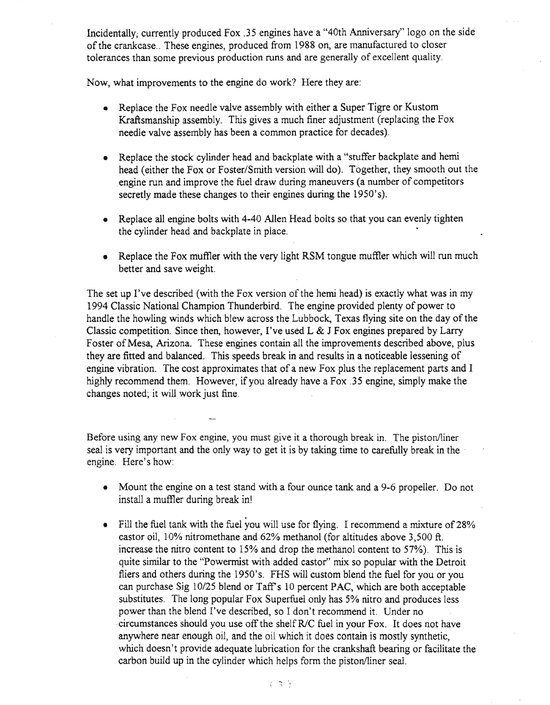Incidentally, currently produced Fox .35 engines have a "40th Anniversary" logo on the side of the crankcase.. These engines, produced from 1988 on, are manufactured to closer tolerances than some previous production runs and are generally of excellent quality.

Now, what improvements to the engine do work? Here they are:

- Replace the Fox needle valve assembly with either a Super Tigre or Kustom Kraftsmanship assembly. This gives a much finer adjustment (replacing the Fox needle valve assembly has been a common practice for decades).
- Replace the stock cylinder head and backplate with a "stuffer backplate and hemi head (either the Fox or Foster/Smith version will do). Together, they smooth out the engine run and improve the fuel draw during maneuvers (a number of competitors secretly made these changes to their engines during the 1950's).
- Replace all engine bolts with 4-40 Allen Head bolts so that you can evenly tighten the cylinder head and backplate in place.
- Replace the Fox muffler with the very light RSM tongue muffler which will run much better and save weight.

The set up I've described (with the Fox version of the hemi head) is exactly what was in my 1994 Classic National Champion Thunderbird. The engine provided plenty of power to handle the howling winds which blew across the Lubbock, Texas flying site on the day of the Classic competition. Since then, however, I've used L & J Fox engines prepared by Larry Foster of Mesa, Arizona. These engines contain all the improvements described above, plus they are fitted and balanced. This speeds break in and results in a noticeable lessening of engine vibration. The cost approximates that of a new Fox plus the replacement parts and I highly recommend them. However, if you already have a Fox .35 engine, simply make the changes noted; it will work just fine.

Before using any new Fox engine, you must give it a thorough break in. The piston/liner seal is very important and the only way to get it is by taking time to carefully break in the engine. Here's how:

- Mount the engine on a test stand with a four ounce tank and a 9-6 propeller. Do not install a muffler during break in!
- Fill the fuel tank with the fuel you will use for flying. I recommend a mixture of 28% castor oil, 10% nitromethane and 62% methanol (for altitudes above 3,500 ft. increase the nitro content to 15% and drop the methanol content to 57%). This is quite similar to the "Powermist with added castor" mix so popular with the Detroit fliers and others during the 1950's. FHS will custom blend the fuel for you or you can purchase Sig 10/25 blend or Taff's 10 percent PAC, which are both acceptable substitutes. The long popular Fox Superfuel only has 5% nitro and produces less power than the blend I've described, so I don't recommend it. Under no .circumstances should you use offthe shelf RIC fuel in your Fox. It does not have anywhere near enough oil, and the oil which it does contain is mostly synthetic, which doesn't provide adequate lubrication for the crankshaft bearing or facilitate the carbon build up in the cylinder which helps form the piston/liner seal.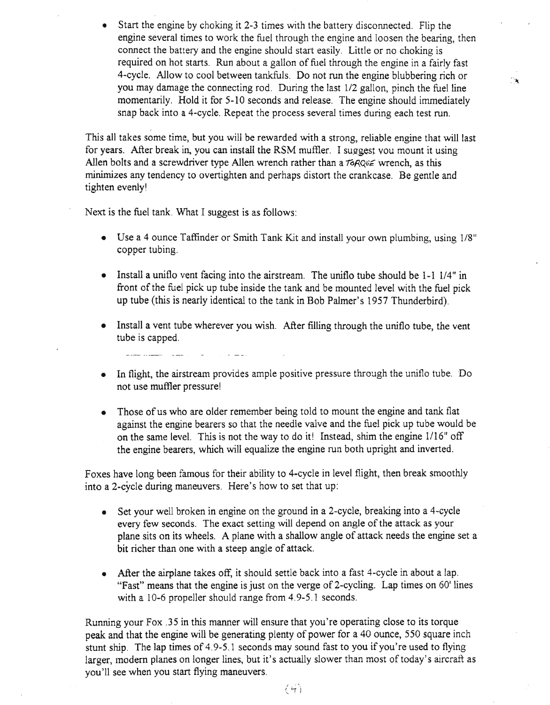• Start the engine by choking it 2-3 times with the battery disconnected. Flip the engine several times to work the fuel through the engine and loosen the bearing, then connect the battery and the engine should start easily. Little or no choking is required on hot starts. Run about a gallon of fuel through the engine in a fairly fast 4-cycle. Allow to cool between tankfuls. Do not run the engine blubbering rich or you may damage the connecting rod. During the last 1/2 gallon, pinch the fuel line momentarily. Hold it for 5-10 seconds and release. The engine should immediately snap back into a 4-cycle. Repeat the process several times during each test run.

 $\mathcal{A}$ 

This all takes some time, but you will be rewarded with a strong, reliable engine that will last for vears. After break in, you can install the RSM muffler. I suggest vou mount it using Allen bolts and a screwdriver type Allen wrench rather than a  $\tau \circ RQ_v \in \mathbb{R}$  wrench, as this minimizes any tendency to overtighten and perhaps distort the crankcase. Be gentle and tighten evenly!

Next is the fuel tank. What I suggest is as follows:

- Use a 4 ounce Taffinder or Smith Tank Kit and install your own plumbing, using 1/8" copper tubing.
- Install a uniflo vent facing into the airstream. The uniflo tube should be 1-1 1/4" in front of the fuel pick up tube inside the tank and be mounted level with the fuel pick up tube (this is nearly identical to the tank in Bob Palmer's 1957 Thunderbird).
- Install a vent tube wherever you wish. After filling through the uniflo tube, the vent tube is capped.

- In flight, the airstream provides ample positive pressure through the uniflo tube. Do not use muffler pressure!
- Those of us who are older remember being told to mount the engine and tank flat against the engine bearers so that the needle valve and the fuel pick up tube would be on the same level. This is not the way to do it! Instead, shim the engine 1/16" off the engine bearers, which will equalize the engine run both upright and inverted.

Foxes have long been famous for their ability to 4-cycle in level flight, then break smoothly into a 2-cycle during maneuvers. Here's how to set that up:

- Set your well broken in engine on the ground in a 2-cycle, breaking into a 4-cycle every few seconds. The exact setting will depend on angle of the attack as your plane sits on its wheels. A plane with a shallow angle of attack needs the engine set a bit richer than one with a steep angle of attack.
- After the airplane takes off, it should settle back into a fast 4-cycle in about a lap. "Fast" means that the engine is just on the verge of 2-cycling. Lap times on  $60^\circ$  lines with a 10-6 propeller should range from 4.9-5.1 seconds.

Running your Fox .35 in this manner will ensure that you're operating close to its torque peak and that the engine will be generating plenty of power for a 40 ounce, 550 square inch stunt ship. The lap times of 4.9-5.1 seconds may sound fast to you if you're used to flying larger, modern planes on longer lines, but it's actually slower than most of today's aircraft as you'll see when you start flying maneuvers.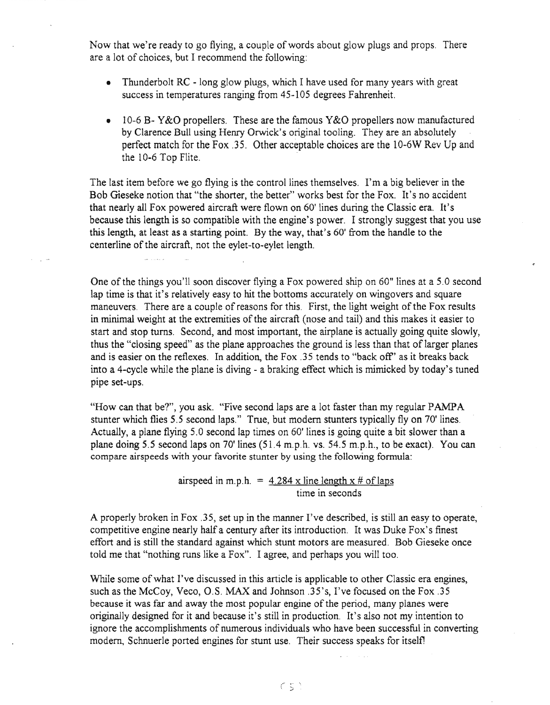Now that we're ready to go flying, a couple of words about glow plugs and props. There are a lot of choices, but I recommend the following:

- Thunderbolt RC long glow plugs, which I have used for many years with great success in temperatures ranging from 45-105 degrees Fahrenheit.
- 10-6 B- Y&O propellers. These are the famous Y&O propellers now manufactured by Clarence Bull using Henry Orwick's original tooling. They are an absolutely perfect match for the Fox .35. Other acceptable choices are the 10-6W Rev Up and the 10-6 Top Flite.

The last item before we go flying is the control lines themselves. I'm a big believer in the Bob Gieseke notion that "the shorter, the better" works best for the Fox. It's no accident that nearly all Fox powered aircraft were flown on 60' lines during the Classic era. It's because this length is so compatible with the engine's power. I strongly suggest that you use this length, at least as a starting point. By the way, that's 60' from the handle to the centerline of the aircraft, not the eylet-to-eylet length.

One of the things you'll soon discover flying a Fox powered ship on 60" lines at a 5.0 second lap time is that it's relatively easy to hit the bottoms accurately on wingovers and square maneuvers. There are a couple of reasons for this. First, the light weight of the Fox results in minimal weight at the extremities of the aircraft (nose and tail) and this makes it easier to start and stop turns. Second, and most important, the airplane is actually going quite slowly, thus the "closing speed" as the plane approaches the ground is less than that of larger planes and is easier on the reflexes. In addition, the Fox .35 tends to "back off" as it breaks back into a 4-cycle while the plane is diving - a braking effect which is mimicked by today's tuned pipe set-ups.

"How can that be?", you ask. "Five second laps are a lot faster than my regular PAMPA stunter which flies 5.5 second laps." True, but modem stunters typically fly on 70' lines. Actually, a plane flying 5.0 second lap times on 60' lines is going quite a bit slower than a plane doing 5.5 second laps on 70'lines (51.4 m.p.h. vs. 54.5 m.p.h., to be exact). You can compare airspeeds with your favorite stunter by using the following formula:

> airspeed in m.p.h. =  $4.284 \times$  line length  $x \neq 0$  and laps time in seconds

A properly broken in Fox .35, set up in the manner I've described, is still an easy to operate, competitive engine nearly half a century after its introduction. It was Duke Fox's finest effort and is still the standard against which stunt motors are measured. Bob Gieseke once told me that "nothing runs like a Fox". I agree, and perhaps you will too.

While some of what I've discussed in this article is applicable to other Classic era engines, such as the McCoy, Veco, O.S. MAX and Johnson .35's, I've focused on the Fox .35 because it was far and away the most popular engine of the period, many planes were originally designed for it and because it's still in production. It's also not my intention to ignore the accomplishments of numerous individuals who have been successful in converting modern, Schnuerle ported engines for stunt use. Their success speaks for itself!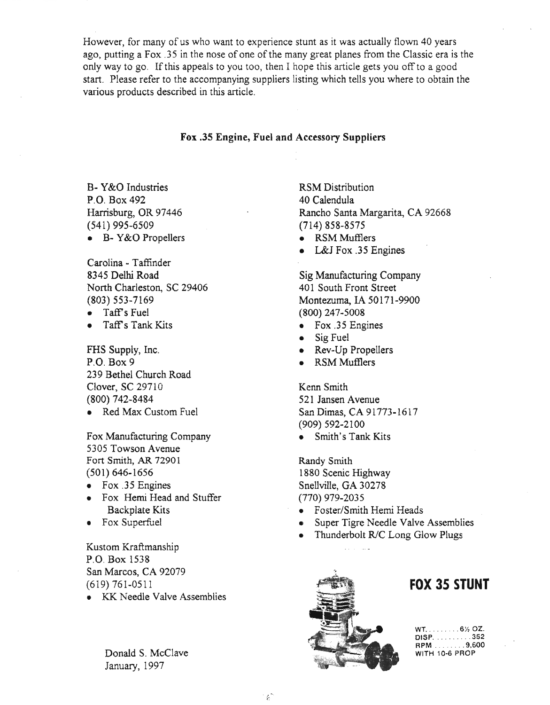However, for many of us who want to experience stunt as it was actually flown 40 years ago, putting a Fox .35 in the nose of one of the many great planes from the Classic era is the only way to go. If this appeals to you too, then I hope this article gets you off to a good start. Please refer to the accompanying suppliers listing which tells you where to obtain the various products described in this article.

### Fox .35 Engine, Fuel and Accessory Suppliers

B- Y&0 Industries P.O. Box 492 Harrisburg, OR 97446 (541) 995-6509 • B- Y&0 Propellers

Carolina - Taffinder 8345 Delhi Road North Charleston, SC 29406 (803) 553-7169

- Taff's Fuel
- $\bullet$  Taff's Tank Kits

FHS Supply, Inc. P.O. Box 9 239 Bethel Church Road Clover, SC 29710 (800) 742-8484

• Red Max Custom Fuel

Fox Manufacturing Company 5305 Towson Avenue Fort Smith, AR 72901 (501) 646-1656

- Fox .35 Engines
- Fox Hemi Head and Stuffer Backplate Kits
- Fox Superfuel

Kustom Kraftmanship P.O. Box 1538 San Marcos, CA 92079 (619) 761-0511

• KK Needle Valve Assemblies

Donald S. McClave January, 1997

RSM Distribution 40 Calendula Rancho Santa Margarita, CA 92668 (714) 858-8575

- RSM Mufflers
- L&J Fox .35 Engines

Sig Manufacturing Company 401 South Front Street Montezuma, IA 50171-9900 (800) 247-5008

- Fox .35 Engines
- Sig Fuel
- Rev-Up Propellers
- RSM Mufflers

Kenn Smith 521 Jansen Avenue San Dimas, CA 91773-1617 (909) 592-2100

• Smith's Tank Kits

Randy Smith 1880 Scenic Highway Snellville, GA 30278 (770) 979-2035

- Foster/Smith Hemi Heads
- Super Tigre Needle Valve Assemblies
- Thunderbolt R/C Long Glow Plugs



### **FOX 3S STUNT**

 $WT_1, \ldots, S_7, 6$ DISP. . . . . . . . . 352 RPM 9,600 WITH 10-6 PROP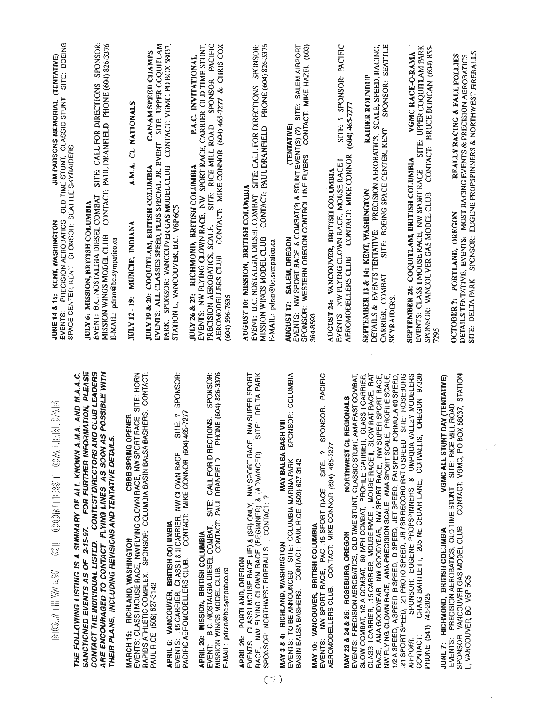| SITE: BOEING<br>A SHINGTON<br>AEROBATICS, OLD TIME STUNT, CLASSIC STUNT SITE: BOE<br>SPONSOR: SEATTLE SKYRAIDERS<br>EVENTS: PRECISION AEROBATICS,<br>JUNE 14 & 15: KENT, WASHINGTON<br>SPACE CENTER, KENT. | SPONSOR:<br>CONTACT: PAUL DRANFIELD PHONE (604) 826-3376<br>SITE: CALL FOR DIRECTIONS<br>EVENT: B.C. NOSTALGIA DIESEL COMBAT<br><b>JULY 6: MISSION, BRITISH COLUMBIA</b><br>MISSION WINGS MODEL CLUB<br>E-MAIL: pdran@bc.sympatico.ca                                  | A.M.A. CL NATIONALS<br>JULY 12 - 19: MUNCIE, INDIANA                                                            | EVENTS: ALL CLASSES SPEED, PLUS SPECIAL JR. EVENT SITE: UPPER COQUITLAM<br>CONTACT: VGMC, PO BOX 58037,<br>CAN-AM SPEED CHAMPS<br>PARK. SPONSOR: VANCOUVER GAS MODEL CLUB<br>JULY 19 & 20: COQUITLAM, BRITISH COLUMBIA | STATION L, VANCOUVER, B.C. V6P 6C5                                                                                                                            | EVENTS: NW FLYING CLOWN RACE, NW SPORT RACE, CARRIER, OLD TIME STUNT,<br>SITE: RICE MILL ROAD SPONSOR: PACIFIC<br>CONTACT: MIKE CONNOR (604) 465-7277 & CHRIS COX<br>P.A.C. INVITATIONAL<br>JULY 26 & 27: RICHMOND, BRITISH COLUMBIA<br>PRECISION AEROBATICS, SCALE.<br>AEROMODELLERS CLUB<br>(604) 596-7635 | PHONE (604) 826-3376<br>EVENT: B.C. NOSTALGIA DIESEL COMBAT SITE: CALL FOR DIRECTIONS SPONSOR:<br>MISSION WINGS MODEL CLUB CONTACT: PAUL DRANFIELD PHONE (604) 826-3376<br>AUGUST 10: MISSION, BRITISH COLUMBIA<br>E-MAIL: pdran@bc.sympatico.ca    | CONTACT: MIKE HAZEL (503)<br>SITE: SALEM AIRPORT<br>(TENTATIVE)<br>EVENTS: NW SPORT RACE & COMBAT(?) & STUNT EVENT(S) (?)<br>SPONSOR: WESTERN OREGON CONTROL LINE FLYERS CONT<br>SALEM, OREGON<br>AUGUST 17: | AUGUST 24: VANCOUVER, BRITISH COLUMBIA<br>364-8593                                                                                                                        | SITE: ? SPONSOR: PACIFIC<br>(604) 465-7277<br>CONTACT: MIKE CONNOR<br>EVENTS: NW FLYING CLOWN RACE, MOUSE RACE I<br>AEROMODELLERS CLUB | SPONSOR: SEATTLE<br>DETAILS & EVENTS TENTATIVE: PRECISION AEROBATICS, SCALE, SPEED, RACING,<br><b>RAIDER ROUNDUP</b><br>SITE: BOEING SPACE CENTER, KENT<br>SEPTEMBER 13 & 14: KENT, WASHINGTON<br>CARRIER, COMBAT<br>SKYRAIDERS.                                                                                                                                                                                                                                             | SITE: UPPER COQUITLAM PARK<br>CONTACT: BRUCE DUNCAN (604) 855-<br>VGMCRACE-O-RAMA<br>SEPTEMBER 28: COQUITLAM, BRITISH COLUMBIA<br>EVENTS: CLASS I MOUSE RACE, NW SPORT RACE<br>SPONSOR: VANCOUVER GAS MODEL CLUB<br>7295                                                                              | SPONSOR: EUGENE PROPSPINNERS & NORTHWEST FIREBALLS<br>REALLY RACING & FALL FOLLIES<br>DETAILS TENTATIVE, EVENTS: MOST RACING EVENTS & PRECISION AEROBATICS<br>OCTOBER ?: PORTLAND, OREGON<br>SITE: DELTA PARK |  |
|------------------------------------------------------------------------------------------------------------------------------------------------------------------------------------------------------------|------------------------------------------------------------------------------------------------------------------------------------------------------------------------------------------------------------------------------------------------------------------------|-----------------------------------------------------------------------------------------------------------------|------------------------------------------------------------------------------------------------------------------------------------------------------------------------------------------------------------------------|---------------------------------------------------------------------------------------------------------------------------------------------------------------|--------------------------------------------------------------------------------------------------------------------------------------------------------------------------------------------------------------------------------------------------------------------------------------------------------------|-----------------------------------------------------------------------------------------------------------------------------------------------------------------------------------------------------------------------------------------------------|--------------------------------------------------------------------------------------------------------------------------------------------------------------------------------------------------------------|---------------------------------------------------------------------------------------------------------------------------------------------------------------------------|----------------------------------------------------------------------------------------------------------------------------------------|------------------------------------------------------------------------------------------------------------------------------------------------------------------------------------------------------------------------------------------------------------------------------------------------------------------------------------------------------------------------------------------------------------------------------------------------------------------------------|-------------------------------------------------------------------------------------------------------------------------------------------------------------------------------------------------------------------------------------------------------------------------------------------------------|---------------------------------------------------------------------------------------------------------------------------------------------------------------------------------------------------------------|--|
| M.A. AND M.A.A.C.<br><b>TRIDAYS</b><br>NGORITHWATESTI CONTRONITESS IN<br>THE FOLLOWING LISTING IS A SUMMARY OF ALL KNOWN A.                                                                                | FOR FURTHER INFORMATION, PLEASE<br>CONTACT THE INDIVIDUAL LISTED. CONTEST DIRECTORS AND CLUB LEADERS<br>ARE ENCOURAGED TO CONTACT FLYING LINES AS SOON AS POSSIBLE WITH<br>THEIR PLANS, INCLUDING REVISIONS AND TENTATIVE DETAILS.<br>SANCTIONED EVENTS AS OF 2-15-97. | SITE: HORN<br>MARCH 15: RICHLAND, WASHINGTON<br>EVENTS: CLASS I MOUSE RACE, NW FLYING CLOWN RACE, NW SPORT RACE | RAPIDS ATHLETIC COMPLEX SPONSOR: COLUMBIA BASIN BALSA BASHERS. CONTACT:<br>APRIL 6: VANCOUVER, BRITISH COLUMBIA<br>PAUL RICE (509) 627-3142                                                                            | SPONSOR:<br>465-7277<br>$\sim$<br>SITE:<br>EVENTS: .15 CARRIER, CLASS 1 & II CARRIER, NW CLOWN RACE<br>PACIFIC AEROMODELLERS CLUB. CONTACT: MIKE CONNOR (604) | PHONE (604) 826-3376<br>SPONSOR:<br>SITE: CALL FOR DIRECTIONS.<br>CONTACT: PAUL DRANFIELD<br>B.C. NOSTALGIA DIESEL COMBAT.<br>APRIL 20: MISSION, BRITISH COLUMBIA<br>MISSION WINGS MODEL CLUB.<br>E-MAIL: pdran@bc.sympatico.ca<br>EVENT:                                                                    | SITE: DELTA PARK<br>NW SUPER SPORT<br>EVENTS: CLASS I MOUSE RACE (JR) & (SR) ONLY, NW SPORT RACE,<br>RACE, NW FLYING CLOWN RACE (BEGINNER) & (ADVANCED)<br>SPONSOR: NORTHWEST FIREBALLS. CONTACT: ?<br>APRIL 26: PORTLAND, OREGON<br>$\overline{7}$ | SPONSOR: COLUMBIA<br>MAY BALSA BASH VIII<br>EVENTS: TO BE ANNOUNCED SITE: COLUMBIA MARINA PARK<br>BASIN BALSA BASHERS. CONTACT: PAUL RICE (509) 627-3142<br>MAY 3 & 4: RICHLAND, WASHINGTON                  | SPONSOR: PACIFIC<br>MAY 10: VANCOUVER, BRITISH COLUMBIA<br>EVENTS: NW SPORT RACE, PAC .15 SPORT RACE SITE: ? S<br>AEROMODELLERS CLUB. CONTACT: MIKE CONNOR (604) 465-7277 | AMA FAST COMBAT,<br><b>REGIONALS</b><br>NORTHWEST CL<br>MAY 23 & 24 & 25: ROSEBURG, OREGON                                             | RACE, AMA GOODYEAR, NW GOODYEAR, NW SPORT RACE, NW SUPER SPORT RACE,<br>NW FLYING CLOWN RACE, AMA PRECISION SCALE, AMA SPORT SCALE, PROFILE SCALE,<br>1/2 A SPEED, A SPEED, B SPEED, D SPEED, JET SPEED, FAI SPEED, FORMULA 40 SPEED<br>CLASS I CARRIER,<br>OW RAT RACE, RAT<br>EVENTS: PRECISION AEROBATICS, OLD TIME STUNT, CLASSIC STUNT,<br>SLOW COMBAT, 1/2 A COMBAT, 80 MPH COMBAT, PROFILE CARREER,<br>CLASS II CARRIER, .15 CARRIER, MOUSE RACE I, MOUSE RACE II, SL | SITE: ROSEBURG<br>SPONSOR: EUGENE PROPSPINNERS & UMPQUA VALLEY MODELERS<br>CRAIG BARTLETT, 205 NE CEOAR LANE, CORVALLIS, OREGON 97330<br>21 SPORT SPEED, 21 PROTO SPEED, JR / SR RECORD RATIO SPEED<br>AIRPORT. SPONSOR: EUGENE PROPSPINNERS & UMPQUA<br>PHONE (541) 745-2025<br>CONTACT:<br>AIRPORT. | JUNE 7: RICHMOND, BRITISH COLUMBIA<br>EVENTS: PRECISION AEROBATICS, OLD TIME STUNT SITE: RICE MILL ROAD<br>EVENTS: PRECISION AEROBATICS, OLD TIME STUNT SITE: RICE MILL ROAD<br>L, VANCOUVER, BC V6P 6C5      |  |

 $\sim$ 

 $\sim 10^{-1}$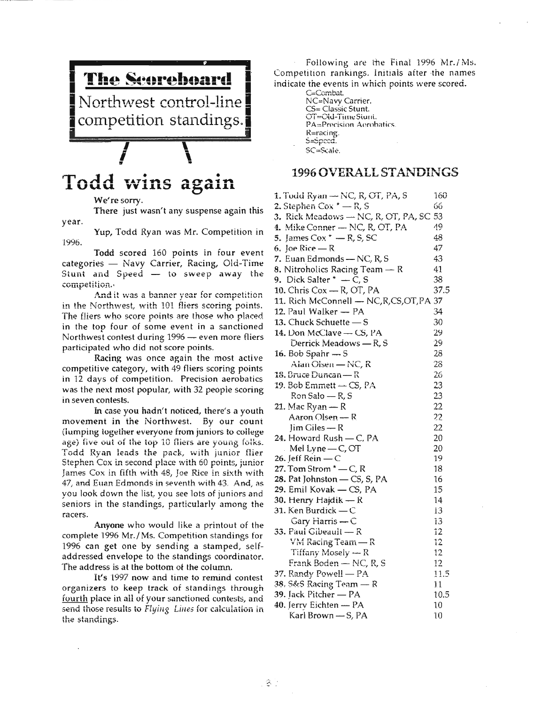

## Todd wins again

We're sorry.

year. There just wasn't any suspense again this

1996. Yup, Todd Ryan was Mr. Competition in

Todd scored 160 points in four event categories - Navy Carrier, Racing, Old-Time Stunt and  $Speed - to sweep away the$ ccmpetition.'

And it was a banner year for competition in the Northwest, with 101 fliers scoring points. The fliers who score points are those who placed. in the top four of some event in a sanctioned Northwest contest during 1996 - even more fliers participated who did not score points.

Racing was once again the most active competitive category, with 49 fliers scoring points in 12 days of competition. Precision aerobatics was the next most popular, with 32 people scoring in seven contests.

In case you hadn't noticed, there's a youth movement in the Northwest. By our count (lumping together everyone from juniors to college age) five out of the top 10 fliers are young folks. Todd Ryan leads the pack, with junior flier Stephen Cox in second place with 60 points, junior James Cox in fifth with 48, Joe Rice in sixth with 47, and Euan Edmonds in seventh with 43. And, as you look down the list, you see lots of juniors and seniors in the standings, particularly among the racers.

Anyone who would like a printout of the complete 1996 Mr./Ms. Competition standings for 1996 can get one by sending a stamped, selfaddressed envelope to the standings coordinator. The address is at the bottom ot the column.

It's 1997 now and time to remind contest organizers to keep track of standings through fourth place in all of your sanctioned contests, and send those results to Flying *Lilies* for calculation in the standings.

Following are the Final 1996 Mr./Ms. Competition rankings. Initials after the names indicate the events in which points were scored.

> C=Combat. NC=Navv Carrier. CS= Classic Stunt. OT=Old-TimeStunt. PA=Precision Aerobatics. R=racing.  $s =$ speed. SC=Scale.

### 1996 OVERALL STANDINGS

1. Todd Ryan - NC, R, OT, PA, S 160 **2.** Stephen Cox  $* - R$ , S 66 3. Rick Meadows  $-$  NC, R, OT, PA, SC 53 4. Mike Conner - NC, R, OT, PA. **19** 5. James Cox  $* - R$ , S, SC 48 6, loe Rice  $- R$  47 7. Euan Edmonds - NC,  $R$ ,  $S$  43 8. Nitroholics Racing Team  $- R$  41 9. Dick Salter  $* - C$ , S 38 10. Chris Cox - R, OT, PA 37.5 11. Rich McConnell - NC, R, CS, OT, PA 37 12. Paul Walker  $-$  PA  $34$ 13. Chuck Schuette - S 30  $14.$  Don McClave - CS, PA 29  $Derrick Meadows - R, S$  29  $16. Bob Spahr - S$  28  $\text{Alan Olsen} \longrightarrow \text{NC}$ , R 28  $18.$  Bruce Duncan  $-$  R  $26$ 19. Bob Emmett  $\rightarrow$  CS, PA 23  $Ron Salo - R, S$  23 21. Mac Ryan  $-R$  22  $\text{Aaron Olsen} - \text{R}$  22  $\lim$  Giles - R 22  $24.$  Howard Rush — C, PA  $20$ Mel Lyne  $-C$ , OT 20  $26.$  Jeff Rein  $-C$  19  $27.$  Tom Strom  $^{\star}$  - C, R 18 28. Pat Johnston  $-$  CS, S, PA  $16$  $29.$  Emil Kovak – CS, PA 15 30. Henry Hajdik  $- R$  14 31. Ken Burdick  $-C$  13 Gary Harris  $-C$  i3  $33.$  Paul Gibeault  $- R$  12 VM Racing Team  $-R$  12 Tiffany Mosely  $\leftarrow$  R 12  $Frank Boden - NC, R, S$  12  $37.$  Randy Powell  $- PA$  11.5 38, S&S Racing Team  $\overline{\phantom{1}}$  R 11 39. Jack Pitcher - PA 10.5  $40.$  Jerry Eichten  $- PA$  10  $Karl Brown - S, PA$  10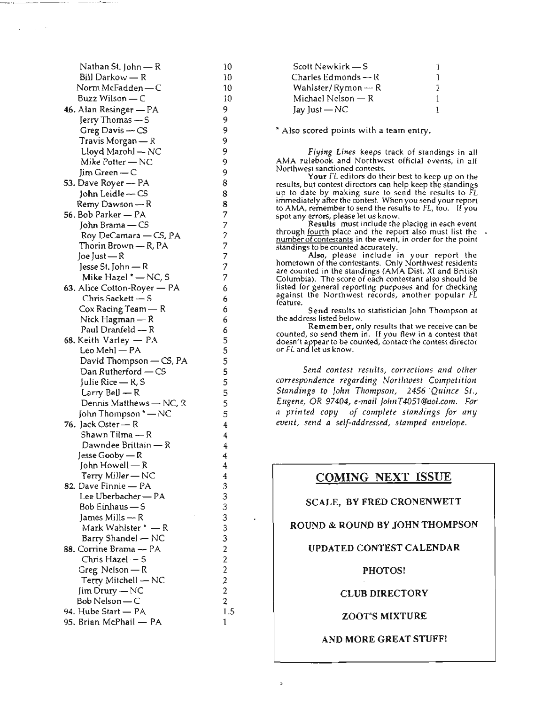| Nathan St. John — R                       | 10                                |
|-------------------------------------------|-----------------------------------|
| Bill Darkow — R                           | 10                                |
| Norm McFadden — C                         | 10                                |
| Buzz Wilson — C                           | 10                                |
| 46. Alan Resinger - PA                    | 9                                 |
| Jerry Thomas — S                          | 9                                 |
| Greg Davis - CS                           | 9                                 |
| Travis Morgan — R                         | 9                                 |
| Lloyd Marohl — NC                         |                                   |
| Mike Potter - NC                          | 9<br>9                            |
|                                           | 9                                 |
| Jim Green — C                             | 8                                 |
| 53. Dave Royer — PA                       |                                   |
| John Leidle ~ CS                          | 8                                 |
| Remy Dawson — R                           | 8                                 |
| 56. Bob Parker — PA                       |                                   |
| John Brama - CS                           |                                   |
| Roy DeCamara - CS, PA                     |                                   |
| Thorin Brown — R, PA                      |                                   |
| Joe Just — R                              | フフフフフフフ                           |
| Jesse St. John — R                        |                                   |
| Mike Hazel * - NC, S                      |                                   |
| 63. Alice Cotton-Royer - PA               | 6                                 |
| Chris Sackett — S                         | 6                                 |
| Cox Racing Team - R                       | 6                                 |
| Nick Hagman — R                           | 6                                 |
| Paul Dranfeld - R                         | 6555555554                        |
| 68. Keith Varley - PA                     |                                   |
| Leo Mehl - PA                             |                                   |
| David Thompson — CS, PA                   |                                   |
| Dan Rutherford - CS                       |                                   |
| Julie Rice — R, S                         |                                   |
| Larry Bell — R                            |                                   |
| Dennis Matthews — NC, R                   |                                   |
| John Thompson * - NC                      |                                   |
| 76. Jack Oster - R                        |                                   |
| Shawn Tilma — R                           | 4                                 |
| Dawndee Brittain — R                      | 4                                 |
| Jesse Gooby — R                           | 4                                 |
| John Howell — R                           | 4                                 |
|                                           |                                   |
| Terry Miller — NC<br>82. Dave Finnie — PA |                                   |
| Lee Uberbacher - PA                       |                                   |
| Bob Einhaus — S                           |                                   |
| James Mills $- R$                         |                                   |
| Mark Wahlster $^*$ — R                    |                                   |
| Barry Shandel - NC                        |                                   |
|                                           |                                   |
| 88. Corrine Brama — PA                    |                                   |
| Chris Hazel — S                           | $4$ 3 3 3 3 3 3 2 2 2 2 2 2 2 1 1 |
| Greg Nelson — R                           |                                   |
| Terry Mitchell - NC                       |                                   |
| Jim Drury — NC                            |                                   |
| Bob Nelson — C                            |                                   |
| 94. Hube Start - PA                       |                                   |
| 95. Brian McPhail - PA                    | 1                                 |

| Scott Newkirk — S              |  |
|--------------------------------|--|
| Charles Edmonds $\leftarrow$ R |  |
| Wahlster/Rymon $\leftarrow$ R  |  |
| Michael Nelson - R             |  |
| Jay Just - NC                  |  |

\* Also scored points with a team entry.

*Flying Lines* keeps track of standings in all AMA rulebook and Northwest official events, in all Northwest sanctioned contests.

Your FL editors do their best to keep up on the results, but contest directors can help keep the standings up to date by making sure to send the results to FL immediately after the contest. When you send your report to AMA, remember to send the results to FL, too. If you spot any errors, please let us know.

Results must include the placing in each event through fourth place and the report also must list the number of contestants in the event, in order for the point<br>standings to be counted accurately.

Also, please include in your report the hometown of the contestants. Only Northwest residents are counted in the standings (AMA Dist. XI and British Columbia). The score of each contestant also should be listed for general reporting purposes and for checking against the Northwest records, another popular  $f\widetilde{L}$ feature.

Send results to statistician John Thompson at the address listed below.

Remember, only results that we receive can be counted, so send them in. If you flew in a contest that doesn't appear to be counted, contact the contest director or FL and let us know.

*Send contest results, corrections and other correspondence regarding Northwest Competition Standings to John TllOmpson,* 2456 *'Quince St., Eugene,* OR *97404, e-mail JolmT4051@aol.com. For a printed copy of complete standings for any*  $event, send a self-addressed, stamped envelope.$ 

### COMING NEXT ISSUE

### SCALE, BY FRED CRONENWETT

### ROUND & ROUND BY JOHN THOMPSON

### UPDATED CONTEST CALENDAR

PHOTOS!

CLUB DIRECTORY

ZOOT'S MIXTURE

#### AND MORE GREAT STUFF!

1.5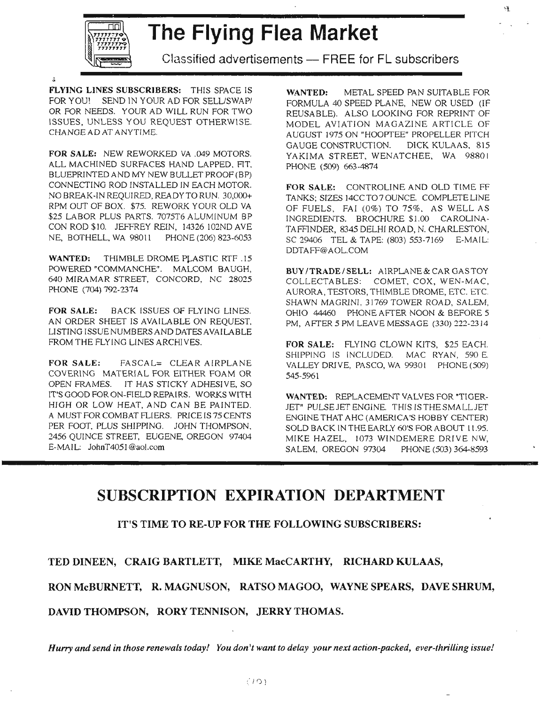

# $\frac{1}{2}$  The Flying Flea Market

Classified advertisements - FREE for FL subscribers

FLYING LINES SUBSCRIBERS: THIS SPACE IS FOR YOU! SEND IN YOUR AD FOR SELL/SWAPI OR FOR NEEDS. YOUR AD WILL RUN FOR TWO ISSUES, UNLESS YOU REQUEST OTHERWISE. CHANGE AD AT ANYTIME.

FOR SALE: NEW REWORKED VA .049 MOTORS. ALL MACHINED SURFACES HAND LAPPED, RT. BLUEPRINTED AND MY NEW BULLET PROOF (BP) CONNECTING ROD INSTALLED IN EACH MOTOR. NO BREAK-IN REQUIRED, READY TO RUN. 30,000+ RPM OUT OF BOX. \$75. REWORK YOUR OLD VA \$25 LABOR PLUS PARTS. 7075T6 ALUMINUM BP CON ROD \$10. JEFFREY REIN, 14326 I02ND AVE NE, BOTHELL, WA 98011 PHONE (206) 823-6053

WANTED: THIMBLE DROME PLASTIC RTF .15 POWERED "COMMANCHE". MALCOM BAUGH, 640 MIRAMAR STREET, CONCORD, NC 28025 PHONE (704) 792-2374

FOR SALE: BACK ISSUES OF FLYING LINES. AN ORDER SHEET IS AVAILABLE ON REQUEST, LISTING ISSUE NUMBERS AND DATES AVAILABLE FROM THE FLYING LlNES ARCHIVES.

FOR SALE: FASCAL= CLEAR AIRPLANE COVERING MATERIAL FOR EITHER FOAM OR OPEN FRAMES. IT HAS STICKY ADHESIVE, SO IT'S GOOD FOR ON-RELD REPAIRS. WORKS WITH HIGH OR LOW HEAT, AND CAN BE PAINTED. A MUST FOR COMBAT FLIERS. PRICE IS 75 CENTS PER FOOT, PLUS SHIPPING. JOHN THOMPSON, 2456 QUINCE STREET, EUGENE, OREGON 97404 E-MAIL: JohnT4051@aoJ.com

WANTED: METAL SPEED PAN SUITABLE FOR FORMULA 40 SPEED PLANE, NEW OR USED (IF REUSABLE). ALSO LOOKING FOR REPRINT OF MODEL AVIATION MAGAZINE ARTICLE OF AUGUST 1975 ON "HOOPTEE" PROPELLER PITCH GAUGE CONSTRUCTION. DICK KULAAS, 815 YAKIMA STREET, WENATCHEE, WA 98801 PHONE (509) 663-4874

FOR SALE: CONTROLINE AND OLD TIME FF TANKS; SIZES 14CCT070UNCE. COMPLETELINE OF FUELS, FAI (0%) TO 75%, AS WELL AS INGREDIENTS. BROCHURE \$1.00 CAROLINA-TAFFINDER, 8345 DELHI ROAD, N. CHARLESTON, SC 29406 TEL & TAPE: (803) 553-7169 E-MAIL: DDTAFF@AOL.COM

BUY /TRADE/SELL: AIRPLANE & CAR GAS TOY COLLECTABLES: COMET, COX, WEN-MAC, AURORA, TESTORS, THIMBLE DROME, ETC. *ETC.* SHAWN MAGRINI, 31769 TOWER ROAD, SALEM, OHIO 44460 PHONE AFTER NOON & BEFORE 5 PM, AFrER 5 PM LEAVE MESSAGE (330) 222-2314

FOR SALE: FLYING CLOWN KITS, \$25 EACH. SHIPPING IS INCLUDED. MAC RYAN, 590 E. VALLEY DRIVE, PASCO, WA 99301 PHONE (509) 545-5961

WANTED: REPLACEMENT VALVES FOR "TIGER-JET" PULSE JET ENGINE. THIS IS THE SMALLJET ENGINE THAT AHC (AMERICA'S HOBBY CENTER) SOLD BACK IN THE EARLY 60'S FOR ABOUT 11.95. MIKE HAZEL, 1073 WINDEMERE DRIVE NW, SALEM, OREGON 97304 PHONE (503) 364-8593

## **SUBSCRIPTION EXPIRATION DEPARTMENT**

IT'S TIME TO RE-UP FOR THE FOLLOWING SUBSCRIBERS:

TED DINEEN, CRAIG BARTLETT, MIKE MacCARTHY, RICHARD KULAAS,

RON McBURNETT, R. MAGNUSON, RATSO MAGOO, WAYNE SPEARS, DAVE SHRUM,

DAVID THOMPSON, RORY TENNISON, JERRY THOMAS.

Hurry and send in those renewals today! You don't want to delay your next action-packed, ever-thrilling issue!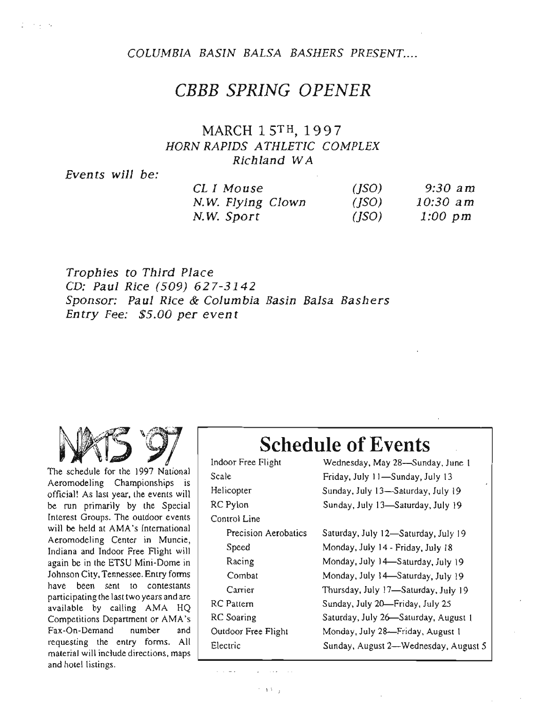COLUMBIA BASIN BALSA BASHERS PRESENT....

## *CEEE SPRING OPENER*

### MARCH 15TH, 1997 HORN RAPIDS ATHLETIC COMPLEX Richland WA

Events will be:

and a state

| CLI Mouse         | (ISO) | 9:30 am    |
|-------------------|-------|------------|
| N.W. Flying Clown | (ISO) | $10:30$ am |
| N.W. Sport        | (ISO) | $1:00$ pm  |

Trophies to Third Place CD: Paul Rice (509) 627-3142 Sponsor: Paul Rice & Columbia Basin Balsa Bashers Entry Fee: \$5.00 per event



The schedule for the 1997 National Aeromodeling Championships is official! As last year, the events will be run primarily by the Special Interest Groups. The outdoor events will be held at AMA's International Aeromodeling Center in Muncie, Indiana and Indoor Free Flight will again be in the ETSU Mini-Dome in Johnson City, Tennessee. Entry forms have been sent to contestants participating the last two years and are available by calling AMA HQ Competitions Department or AMA's Fax-On-Demand number and requesting the entry forms. All material will include directions, maps and hotel listings.

## **Schedule** of Events

| Indoor Free Flight   | Wednesday, May 28-Sunday, June 1     |  |  |  |
|----------------------|--------------------------------------|--|--|--|
| Scale                | Friday, July 11-Sunday, July 13      |  |  |  |
| Helicopter           | Sunday, July 13-Saturday, July 19    |  |  |  |
| RC Pylon             | Sunday, July 13-Saturday, July 19    |  |  |  |
| Control Line         |                                      |  |  |  |
| Precision Aerobatics | Saturday, July 12-Saturday, July 19  |  |  |  |
| Speed                | Monday, July 14 - Friday, July 18    |  |  |  |
| Racing               | Monday, July 14-Saturday, July 19    |  |  |  |
| Combat               | Monday, July 34-Saturday, July 19    |  |  |  |
| Carrier              | Thursday, July 17-Saturday, July 19  |  |  |  |
| RC Pattern           | Sunday, July 20-Friday, July 25      |  |  |  |
| <b>RC</b> Soaring    | Saturday, July 26-Saturday, August 1 |  |  |  |
| Outdoor Free Flight  | Monday, July 28-Friday, August 1     |  |  |  |
| Electric             | Sunday, August 2-Wednesday, August 5 |  |  |  |
|                      |                                      |  |  |  |

 $\hat{z}$  ,  $\hat{z}$  and  $\hat{z}$ 

 $\cdots$